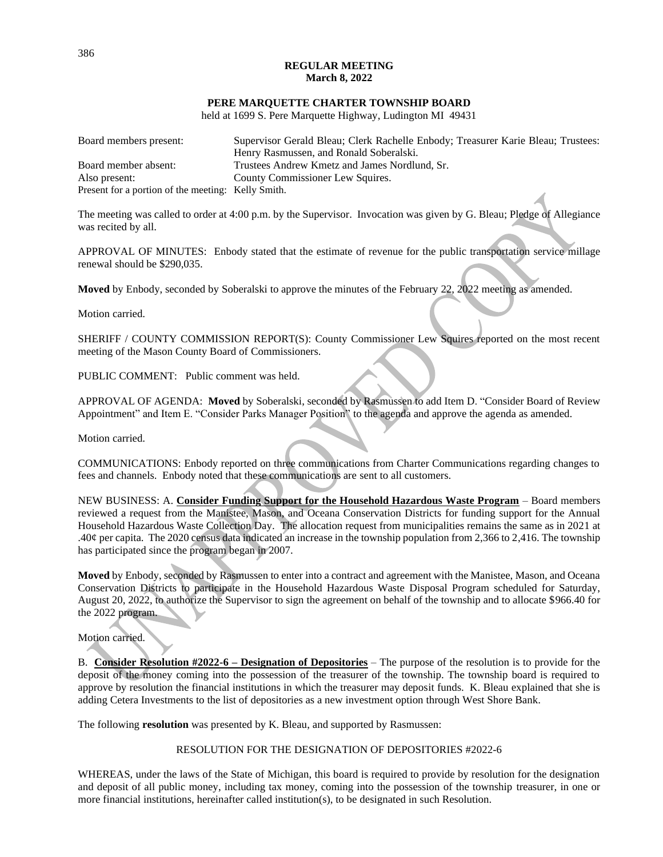## **REGULAR MEETING March 8, 2022**

## **PERE MARQUETTE CHARTER TOWNSHIP BOARD**

held at 1699 S. Pere Marquette Highway, Ludington MI 49431

| Board members present:                             | Supervisor Gerald Bleau; Clerk Rachelle Enbody; Treasurer Karie Bleau; Trustees: |
|----------------------------------------------------|----------------------------------------------------------------------------------|
|                                                    | Henry Rasmussen, and Ronald Soberalski.                                          |
| Board member absent:                               | Trustees Andrew Kmetz and James Nordlund, Sr.                                    |
| Also present:                                      | County Commissioner Lew Squires.                                                 |
| Present for a portion of the meeting: Kelly Smith. |                                                                                  |

The meeting was called to order at 4:00 p.m. by the Supervisor. Invocation was given by G. Bleau; Pledge of Allegiance was recited by all.

APPROVAL OF MINUTES: Enbody stated that the estimate of revenue for the public transportation service millage renewal should be \$290,035.

**Moved** by Enbody, seconded by Soberalski to approve the minutes of the February 22, 2022 meeting as amended.

Motion carried.

SHERIFF / COUNTY COMMISSION REPORT(S): County Commissioner Lew Squires reported on the most recent meeting of the Mason County Board of Commissioners.

PUBLIC COMMENT: Public comment was held.

APPROVAL OF AGENDA: **Moved** by Soberalski, seconded by Rasmussen to add Item D. "Consider Board of Review Appointment" and Item E. "Consider Parks Manager Position" to the agenda and approve the agenda as amended.

Motion carried.

COMMUNICATIONS: Enbody reported on three communications from Charter Communications regarding changes to fees and channels. Enbody noted that these communications are sent to all customers.

NEW BUSINESS: A. **Consider Funding Support for the Household Hazardous Waste Program** – Board members reviewed a request from the Manistee, Mason, and Oceana Conservation Districts for funding support for the Annual Household Hazardous Waste Collection Day. The allocation request from municipalities remains the same as in 2021 at .40¢ per capita. The 2020 census data indicated an increase in the township population from 2,366 to 2,416. The township has participated since the program began in 2007.

**Moved** by Enbody, seconded by Rasmussen to enter into a contract and agreement with the Manistee, Mason, and Oceana Conservation Districts to participate in the Household Hazardous Waste Disposal Program scheduled for Saturday, August 20, 2022, to authorize the Supervisor to sign the agreement on behalf of the township and to allocate \$966.40 for the 2022 program.

Motion carried.

B. **Consider Resolution #2022-6 – Designation of Depositories** – The purpose of the resolution is to provide for the deposit of the money coming into the possession of the treasurer of the township. The township board is required to approve by resolution the financial institutions in which the treasurer may deposit funds. K. Bleau explained that she is adding Cetera Investments to the list of depositories as a new investment option through West Shore Bank.

The following **resolution** was presented by K. Bleau, and supported by Rasmussen:

## RESOLUTION FOR THE DESIGNATION OF DEPOSITORIES #2022-6

WHEREAS, under the laws of the State of Michigan, this board is required to provide by resolution for the designation and deposit of all public money, including tax money, coming into the possession of the township treasurer, in one or more financial institutions, hereinafter called institution(s), to be designated in such Resolution.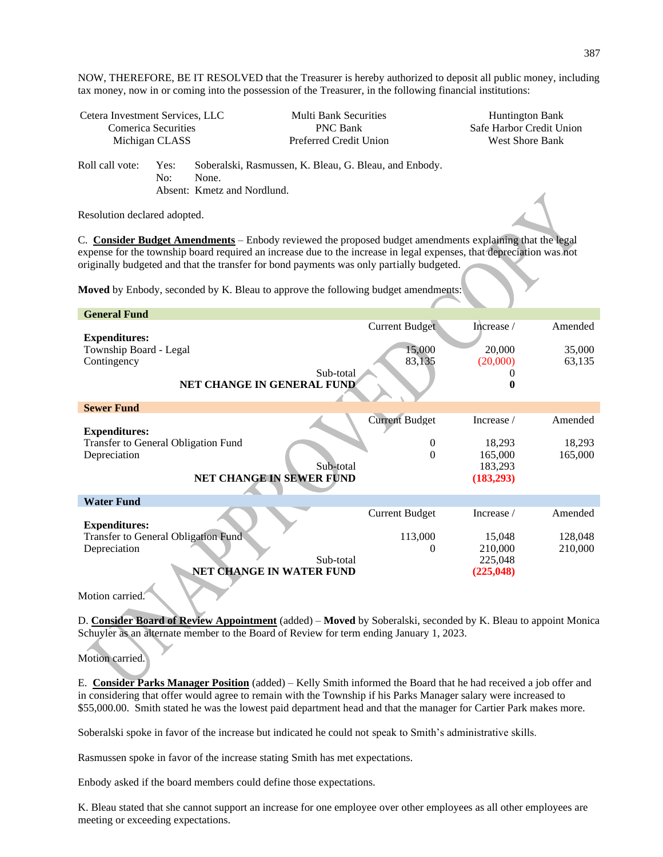NOW, THEREFORE, BE IT RESOLVED that the Treasurer is hereby authorized to deposit all public money, including tax money, now in or coming into the possession of the Treasurer, in the following financial institutions:

| Cetera Investment Services, LLC |             | <b>Multi Bank Securities</b>                                                                   | <b>Huntington Bank</b>   |
|---------------------------------|-------------|------------------------------------------------------------------------------------------------|--------------------------|
| Comerica Securities             |             | <b>PNC Bank</b>                                                                                | Safe Harbor Credit Union |
| Michigan CLASS                  |             | Preferred Credit Union                                                                         | West Shore Bank          |
| Roll call vote:                 | Yes:<br>No: | Soberalski, Rasmussen, K. Bleau, G. Bleau, and Enbody.<br>None.<br>Absent: Kmetz and Nordlund. |                          |

Resolution declared adopted.

C. **Consider Budget Amendments** – Enbody reviewed the proposed budget amendments explaining that the legal expense for the township board required an increase due to the increase in legal expenses, that depreciation was not originally budgeted and that the transfer for bond payments was only partially budgeted.

**Moved** by Enbody, seconded by K. Bleau to approve the following budget amendments:

| <b>General Fund</b>                                         |                       |            |         |  |  |
|-------------------------------------------------------------|-----------------------|------------|---------|--|--|
|                                                             | <b>Current Budget</b> | Increase / | Amended |  |  |
| <b>Expenditures:</b>                                        |                       |            |         |  |  |
| Township Board - Legal                                      | 15,000                | 20,000     | 35,000  |  |  |
| Contingency                                                 | 83,135                | (20,000)   | 63,135  |  |  |
| Sub-total                                                   |                       |            |         |  |  |
| <b>NET CHANGE IN GENERAL FUND</b>                           |                       | o          |         |  |  |
| <b>Sewer Fund</b>                                           |                       |            |         |  |  |
|                                                             | <b>Current Budget</b> | Increase / | Amended |  |  |
| <b>Expenditures:</b>                                        |                       |            |         |  |  |
| Transfer to General Obligation Fund                         | $\mathbf{0}$          | 18,293     | 18,293  |  |  |
| Depreciation                                                | $\Omega$              | 165,000    | 165,000 |  |  |
| Sub-total                                                   |                       | 183,293    |         |  |  |
| <b>NET CHANGE IN SEWER FUND</b><br>(183, 293)               |                       |            |         |  |  |
|                                                             |                       |            |         |  |  |
| <b>Water Fund</b>                                           |                       |            |         |  |  |
|                                                             | <b>Current Budget</b> | Increase / | Amended |  |  |
| <b>Expenditures:</b><br>Transfer to General Obligation Fund | 113,000               | 15,048     | 128,048 |  |  |
| Depreciation                                                | 0                     | 210,000    | 210,000 |  |  |
| Sub-total                                                   |                       | 225,048    |         |  |  |
| NET CHANGE IN WATER FUND                                    |                       | (225, 048) |         |  |  |
|                                                             |                       |            |         |  |  |

Motion carried.

D. **Consider Board of Review Appointment** (added) – **Moved** by Soberalski, seconded by K. Bleau to appoint Monica Schuyler as an alternate member to the Board of Review for term ending January 1, 2023.

Motion carried.

E. **Consider Parks Manager Position** (added) – Kelly Smith informed the Board that he had received a job offer and in considering that offer would agree to remain with the Township if his Parks Manager salary were increased to \$55,000.00. Smith stated he was the lowest paid department head and that the manager for Cartier Park makes more.

Soberalski spoke in favor of the increase but indicated he could not speak to Smith's administrative skills.

Rasmussen spoke in favor of the increase stating Smith has met expectations.

Enbody asked if the board members could define those expectations.

K. Bleau stated that she cannot support an increase for one employee over other employees as all other employees are meeting or exceeding expectations.